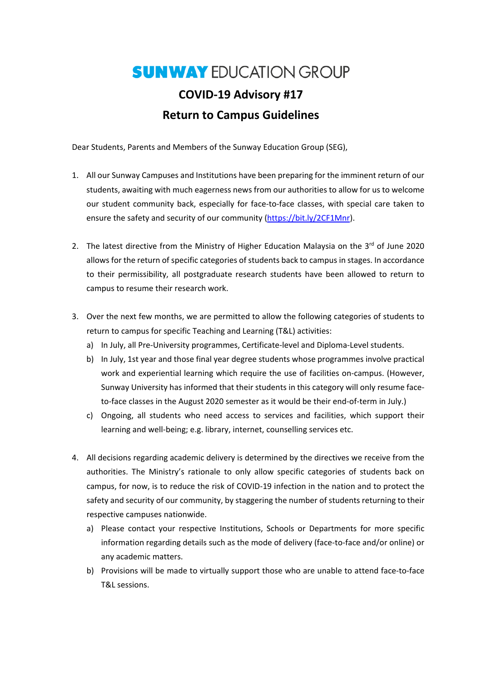## **SUNWAY EDUCATION GROUP COVID-19 Advisory #17**

## **Return to Campus Guidelines**

Dear Students, Parents and Members of the Sunway Education Group (SEG),

- 1. All our Sunway Campuses and Institutions have been preparing for the imminent return of our students, awaiting with much eagerness news from our authorities to allow for us to welcome our student community back, especially for face-to-face classes, with special care taken to ensure the safety and security of our community [\(https://bit.ly/2CF1Mnr\)](https://bit.ly/2CF1Mnr).
- 2. The latest directive from the Ministry of Higher Education Malaysia on the  $3<sup>rd</sup>$  of June 2020 allows for the return of specific categories of students back to campus in stages. In accordance to their permissibility, all postgraduate research students have been allowed to return to campus to resume their research work.
- 3. Over the next few months, we are permitted to allow the following categories of students to return to campus for specific Teaching and Learning (T&L) activities:
	- a) In July, all Pre-University programmes, Certificate-level and Diploma-Level students.
	- b) In July, 1st year and those final year degree students whose programmes involve practical work and experiential learning which require the use of facilities on-campus. (However, Sunway University has informed that their students in this category will only resume faceto-face classes in the August 2020 semester as it would be their end-of-term in July.)
	- c) Ongoing, all students who need access to services and facilities, which support their learning and well-being; e.g. library, internet, counselling services etc.
- 4. All decisions regarding academic delivery is determined by the directives we receive from the authorities. The Ministry's rationale to only allow specific categories of students back on campus, for now, is to reduce the risk of COVID-19 infection in the nation and to protect the safety and security of our community, by staggering the number of students returning to their respective campuses nationwide.
	- a) Please contact your respective Institutions, Schools or Departments for more specific information regarding details such as the mode of delivery (face-to-face and/or online) or any academic matters.
	- b) Provisions will be made to virtually support those who are unable to attend face-to-face T&L sessions.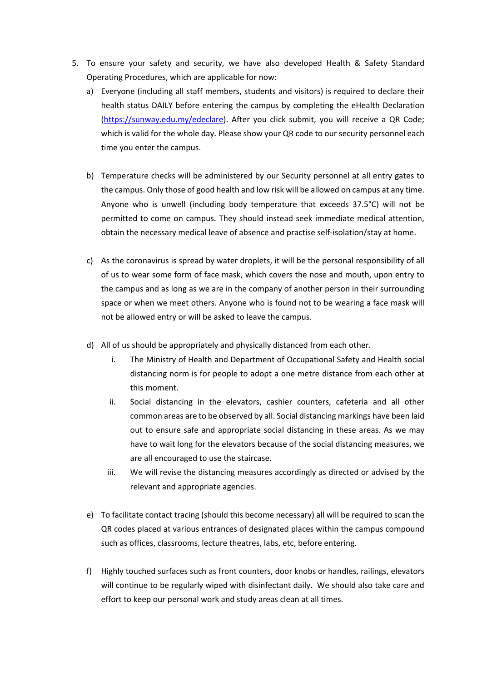- 5. To ensure your safety and security, we have also developed Health & Safety Standard Operating Procedures, which are applicable for now:
	- a) Everyone (including all staff members, students and visitors) is required to declare their health status DAILY before entering the campus by completing the eHealth Declaration [\(https://sunway.edu.my/edeclare\)](https://sunway.edu.my/edeclare). After you click submit, you will receive a QR Code; which is valid for the whole day. Please show your QR code to our security personnel each time you enter the campus.
	- b) Temperature checks will be administered by our Security personnel at all entry gates to the campus. Only those of good health and low risk will be allowed on campus at any time. Anyone who is unwell (including body temperature that exceeds 37.5°C) will not be permitted to come on campus. They should instead seek immediate medical attention, obtain the necessary medical leave of absence and practise self-isolation/stay at home.
	- c) As the coronavirus is spread by water droplets, it will be the personal responsibility of all of us to wear some form of face mask, which covers the nose and mouth, upon entry to the campus and as long as we are in the company of another person in their surrounding space or when we meet others. Anyone who is found not to be wearing a face mask will not be allowed entry or will be asked to leave the campus.
	- d) All of us should be appropriately and physically distanced from each other.
		- i. The Ministry of Health and Department of Occupational Safety and Health social distancing norm is for people to adopt a one metre distance from each other at this moment.
		- ii. Social distancing in the elevators, cashier counters, cafeteria and all other common areas are to be observed by all. Social distancing markings have been laid out to ensure safe and appropriate social distancing in these areas. As we may have to wait long for the elevators because of the social distancing measures, we are all encouraged to use the staircase.
		- iii. We will revise the distancing measures accordingly as directed or advised by the relevant and appropriate agencies.
	- e) To facilitate contact tracing (should this become necessary) all will be required to scan the QR codes placed at various entrances of designated places within the campus compound such as offices, classrooms, lecture theatres, labs, etc, before entering.
	- f) Highly touched surfaces such as front counters, door knobs or handles, railings, elevators will continue to be regularly wiped with disinfectant daily. We should also take care and effort to keep our personal work and study areas clean at all times.